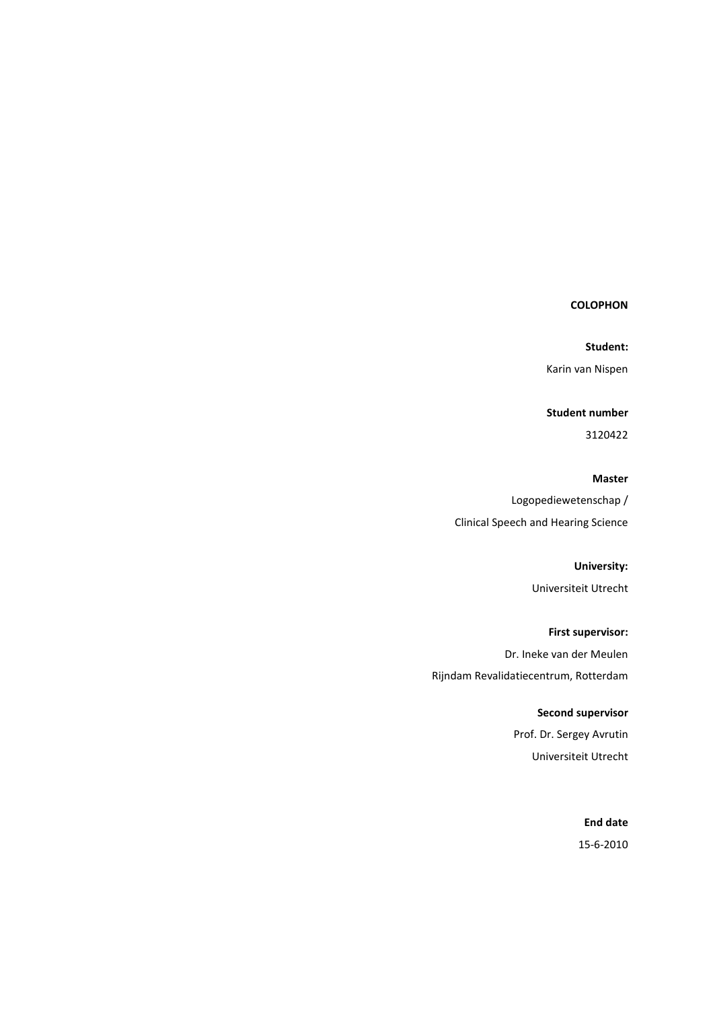# **COLOPHON**

Student:

Karin van Nispen

Student number

3120422

Master

Logopediewetenschap / Clinical Speech and Hearing Science

University:

Universiteit Utrecht

First supervisor: Dr. Ineke van der Meulen Rijndam Revalidatiecentrum, Rotterdam

> Second supervisor Prof. Dr. Sergey Avrutin

Universiteit Utrecht

End date 15-6-2010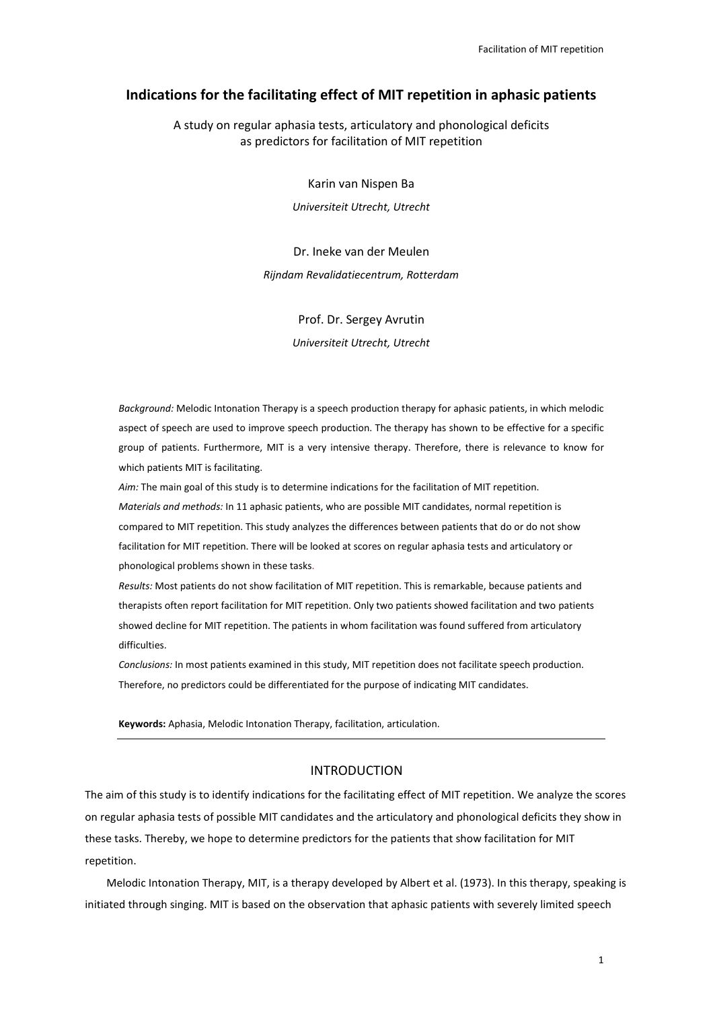# Indications for the facilitating effect of MIT repetition in aphasic patients

A study on regular aphasia tests, articulatory and phonological deficits as predictors for facilitation of MIT repetition

Karin van Nispen Ba

Universiteit Utrecht, Utrecht

Dr. Ineke van der Meulen Rijndam Revalidatiecentrum, Rotterdam

Prof. Dr. Sergey Avrutin

Universiteit Utrecht, Utrecht

Background: Melodic Intonation Therapy is a speech production therapy for aphasic patients, in which melodic aspect of speech are used to improve speech production. The therapy has shown to be effective for a specific group of patients. Furthermore, MIT is a very intensive therapy. Therefore, there is relevance to know for which patients MIT is facilitating.

Aim: The main goal of this study is to determine indications for the facilitation of MIT repetition. Materials and methods: In 11 aphasic patients, who are possible MIT candidates, normal repetition is compared to MIT repetition. This study analyzes the differences between patients that do or do not show facilitation for MIT repetition. There will be looked at scores on regular aphasia tests and articulatory or phonological problems shown in these tasks.

Results: Most patients do not show facilitation of MIT repetition. This is remarkable, because patients and therapists often report facilitation for MIT repetition. Only two patients showed facilitation and two patients showed decline for MIT repetition. The patients in whom facilitation was found suffered from articulatory difficulties.

Conclusions: In most patients examined in this study, MIT repetition does not facilitate speech production. Therefore, no predictors could be differentiated for the purpose of indicating MIT candidates.

Keywords: Aphasia, Melodic Intonation Therapy, facilitation, articulation.

# INTRODUCTION

The aim of this study is to identify indications for the facilitating effect of MIT repetition. We analyze the scores on regular aphasia tests of possible MIT candidates and the articulatory and phonological deficits they show in these tasks. Thereby, we hope to determine predictors for the patients that show facilitation for MIT repetition.

Melodic Intonation Therapy, MIT, is a therapy developed by Albert et al. (1973). In this therapy, speaking is initiated through singing. MIT is based on the observation that aphasic patients with severely limited speech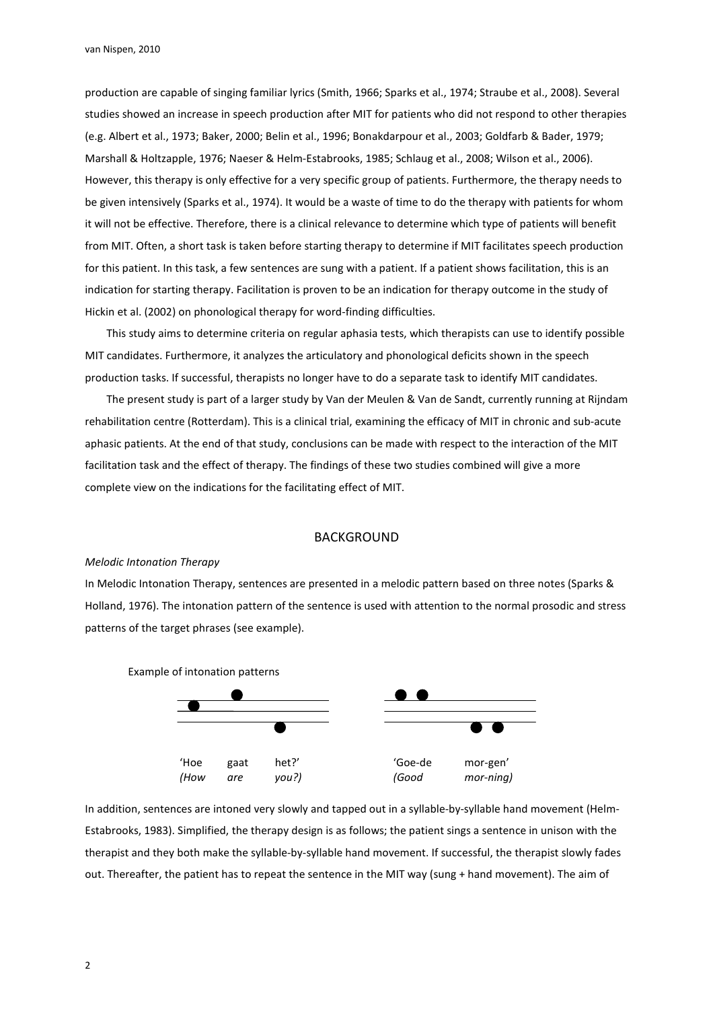production are capable of singing familiar lyrics (Smith, 1966; Sparks et al., 1974; Straube et al., 2008). Several studies showed an increase in speech production after MIT for patients who did not respond to other therapies (e.g. Albert et al., 1973; Baker, 2000; Belin et al., 1996; Bonakdarpour et al., 2003; Goldfarb & Bader, 1979; Marshall & Holtzapple, 1976; Naeser & Helm-Estabrooks, 1985; Schlaug et al., 2008; Wilson et al., 2006). However, this therapy is only effective for a very specific group of patients. Furthermore, the therapy needs to be given intensively (Sparks et al., 1974). It would be a waste of time to do the therapy with patients for whom it will not be effective. Therefore, there is a clinical relevance to determine which type of patients will benefit from MIT. Often, a short task is taken before starting therapy to determine if MIT facilitates speech production for this patient. In this task, a few sentences are sung with a patient. If a patient shows facilitation, this is an indication for starting therapy. Facilitation is proven to be an indication for therapy outcome in the study of Hickin et al. (2002) on phonological therapy for word-finding difficulties.

This study aims to determine criteria on regular aphasia tests, which therapists can use to identify possible MIT candidates. Furthermore, it analyzes the articulatory and phonological deficits shown in the speech production tasks. If successful, therapists no longer have to do a separate task to identify MIT candidates.

The present study is part of a larger study by Van der Meulen & Van de Sandt, currently running at Rijndam rehabilitation centre (Rotterdam). This is a clinical trial, examining the efficacy of MIT in chronic and sub-acute aphasic patients. At the end of that study, conclusions can be made with respect to the interaction of the MIT facilitation task and the effect of therapy. The findings of these two studies combined will give a more complete view on the indications for the facilitating effect of MIT.

### BACKGROUND

#### Melodic Intonation Therapy

In Melodic Intonation Therapy, sentences are presented in a melodic pattern based on three notes (Sparks & Holland, 1976). The intonation pattern of the sentence is used with attention to the normal prosodic and stress patterns of the target phrases (see example).



In addition, sentences are intoned very slowly and tapped out in a syllable-by-syllable hand movement (Helm-Estabrooks, 1983). Simplified, the therapy design is as follows; the patient sings a sentence in unison with the therapist and they both make the syllable-by-syllable hand movement. If successful, the therapist slowly fades out. Thereafter, the patient has to repeat the sentence in the MIT way (sung + hand movement). The aim of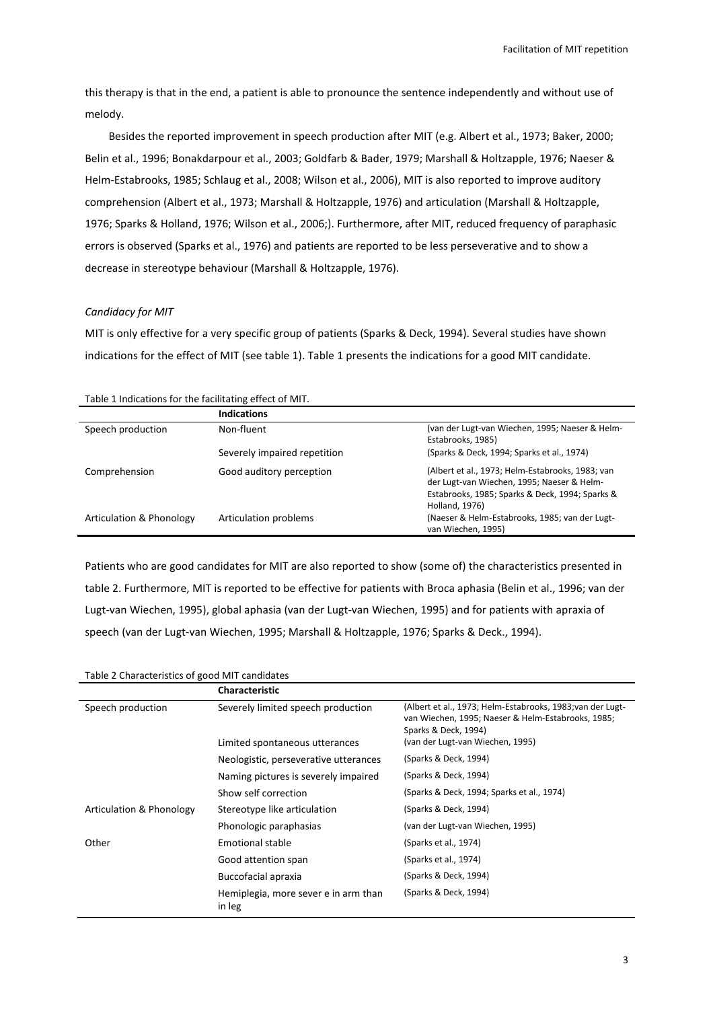this therapy is that in the end, a patient is able to pronounce the sentence independently and without use of melody.

Besides the reported improvement in speech production after MIT (e.g. Albert et al., 1973; Baker, 2000; Belin et al., 1996; Bonakdarpour et al., 2003; Goldfarb & Bader, 1979; Marshall & Holtzapple, 1976; Naeser & Helm-Estabrooks, 1985; Schlaug et al., 2008; Wilson et al., 2006), MIT is also reported to improve auditory comprehension (Albert et al., 1973; Marshall & Holtzapple, 1976) and articulation (Marshall & Holtzapple, 1976; Sparks & Holland, 1976; Wilson et al., 2006;). Furthermore, after MIT, reduced frequency of paraphasic errors is observed (Sparks et al., 1976) and patients are reported to be less perseverative and to show a decrease in stereotype behaviour (Marshall & Holtzapple, 1976).

## Candidacy for MIT

MIT is only effective for a very specific group of patients (Sparks & Deck, 1994). Several studies have shown indications for the effect of MIT (see table 1). Table 1 presents the indications for a good MIT candidate.

|                          | <b>Indications</b>           |                                                                                                                                                                     |
|--------------------------|------------------------------|---------------------------------------------------------------------------------------------------------------------------------------------------------------------|
| Speech production        | Non-fluent                   | (van der Lugt-van Wiechen, 1995; Naeser & Helm-<br>Estabrooks, 1985)                                                                                                |
|                          | Severely impaired repetition | (Sparks & Deck, 1994; Sparks et al., 1974)                                                                                                                          |
| Comprehension            | Good auditory perception     | (Albert et al., 1973; Helm-Estabrooks, 1983; van<br>der Lugt-van Wiechen, 1995; Naeser & Helm-<br>Estabrooks, 1985; Sparks & Deck, 1994; Sparks &<br>Holland, 1976) |
| Articulation & Phonology | Articulation problems        | (Naeser & Helm-Estabrooks, 1985; van der Lugt-<br>van Wiechen, 1995)                                                                                                |

### Table 1 Indications for the facilitating effect of MIT.

Patients who are good candidates for MIT are also reported to show (some of) the characteristics presented in table 2. Furthermore, MIT is reported to be effective for patients with Broca aphasia (Belin et al., 1996; van der Lugt-van Wiechen, 1995), global aphasia (van der Lugt-van Wiechen, 1995) and for patients with apraxia of speech (van der Lugt-van Wiechen, 1995; Marshall & Holtzapple, 1976; Sparks & Deck., 1994).

#### Table 2 Characteristics of good MIT candidates

|                          | <b>Characteristic</b>                                                |                                                                                                                                                                             |
|--------------------------|----------------------------------------------------------------------|-----------------------------------------------------------------------------------------------------------------------------------------------------------------------------|
| Speech production        | Severely limited speech production<br>Limited spontaneous utterances | (Albert et al., 1973; Helm-Estabrooks, 1983;van der Lugt-<br>van Wiechen, 1995; Naeser & Helm-Estabrooks, 1985;<br>Sparks & Deck, 1994)<br>(van der Lugt-van Wiechen, 1995) |
|                          | Neologistic, perseverative utterances                                | (Sparks & Deck, 1994)                                                                                                                                                       |
|                          | Naming pictures is severely impaired                                 | (Sparks & Deck, 1994)                                                                                                                                                       |
|                          | Show self correction                                                 | (Sparks & Deck, 1994; Sparks et al., 1974)                                                                                                                                  |
| Articulation & Phonology | Stereotype like articulation                                         | (Sparks & Deck, 1994)                                                                                                                                                       |
|                          | Phonologic paraphasias                                               | (van der Lugt-van Wiechen, 1995)                                                                                                                                            |
| Other                    | Emotional stable                                                     | (Sparks et al., 1974)                                                                                                                                                       |
|                          | Good attention span                                                  | (Sparks et al., 1974)                                                                                                                                                       |
|                          | Buccofacial apraxia                                                  | (Sparks & Deck, 1994)                                                                                                                                                       |
|                          | Hemiplegia, more sever e in arm than<br>in leg                       | (Sparks & Deck, 1994)                                                                                                                                                       |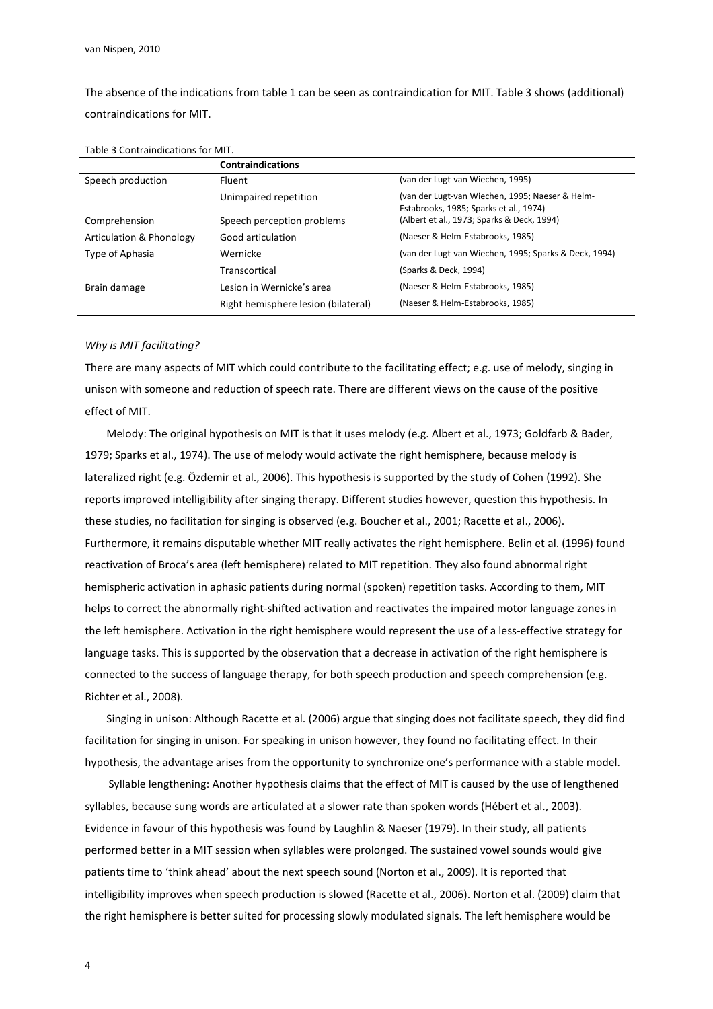The absence of the indications from table 1 can be seen as contraindication for MIT. Table 3 shows (additional) contraindications for MIT.

|                          | <b>Contraindications</b>            |                                                                                           |
|--------------------------|-------------------------------------|-------------------------------------------------------------------------------------------|
| Speech production        | <b>Fluent</b>                       | (van der Lugt-van Wiechen, 1995)                                                          |
|                          | Unimpaired repetition               | (van der Lugt-van Wiechen, 1995; Naeser & Helm-<br>Estabrooks, 1985; Sparks et al., 1974) |
| Comprehension            | Speech perception problems          | (Albert et al., 1973; Sparks & Deck, 1994)                                                |
| Articulation & Phonology | Good articulation                   | (Naeser & Helm-Estabrooks, 1985)                                                          |
| Type of Aphasia          | Wernicke                            | (van der Lugt-van Wiechen, 1995; Sparks & Deck, 1994)                                     |
|                          | Transcortical                       | (Sparks & Deck, 1994)                                                                     |
| Brain damage             | Lesion in Wernicke's area           | (Naeser & Helm-Estabrooks, 1985)                                                          |
|                          | Right hemisphere lesion (bilateral) | (Naeser & Helm-Estabrooks, 1985)                                                          |

#### Why is MIT facilitating?

There are many aspects of MIT which could contribute to the facilitating effect; e.g. use of melody, singing in unison with someone and reduction of speech rate. There are different views on the cause of the positive effect of MIT.

Melody: The original hypothesis on MIT is that it uses melody (e.g. Albert et al., 1973; Goldfarb & Bader, 1979; Sparks et al., 1974). The use of melody would activate the right hemisphere, because melody is lateralized right (e.g. Özdemir et al., 2006). This hypothesis is supported by the study of Cohen (1992). She reports improved intelligibility after singing therapy. Different studies however, question this hypothesis. In these studies, no facilitation for singing is observed (e.g. Boucher et al., 2001; Racette et al., 2006). Furthermore, it remains disputable whether MIT really activates the right hemisphere. Belin et al. (1996) found reactivation of Broca's area (left hemisphere) related to MIT repetition. They also found abnormal right hemispheric activation in aphasic patients during normal (spoken) repetition tasks. According to them, MIT helps to correct the abnormally right-shifted activation and reactivates the impaired motor language zones in the left hemisphere. Activation in the right hemisphere would represent the use of a less-effective strategy for language tasks. This is supported by the observation that a decrease in activation of the right hemisphere is connected to the success of language therapy, for both speech production and speech comprehension (e.g. Richter et al., 2008).

Singing in unison: Although Racette et al. (2006) argue that singing does not facilitate speech, they did find facilitation for singing in unison. For speaking in unison however, they found no facilitating effect. In their hypothesis, the advantage arises from the opportunity to synchronize one's performance with a stable model.

 Syllable lengthening: Another hypothesis claims that the effect of MIT is caused by the use of lengthened syllables, because sung words are articulated at a slower rate than spoken words (Hébert et al., 2003). Evidence in favour of this hypothesis was found by Laughlin & Naeser (1979). In their study, all patients performed better in a MIT session when syllables were prolonged. The sustained vowel sounds would give patients time to 'think ahead' about the next speech sound (Norton et al., 2009). It is reported that intelligibility improves when speech production is slowed (Racette et al., 2006). Norton et al. (2009) claim that the right hemisphere is better suited for processing slowly modulated signals. The left hemisphere would be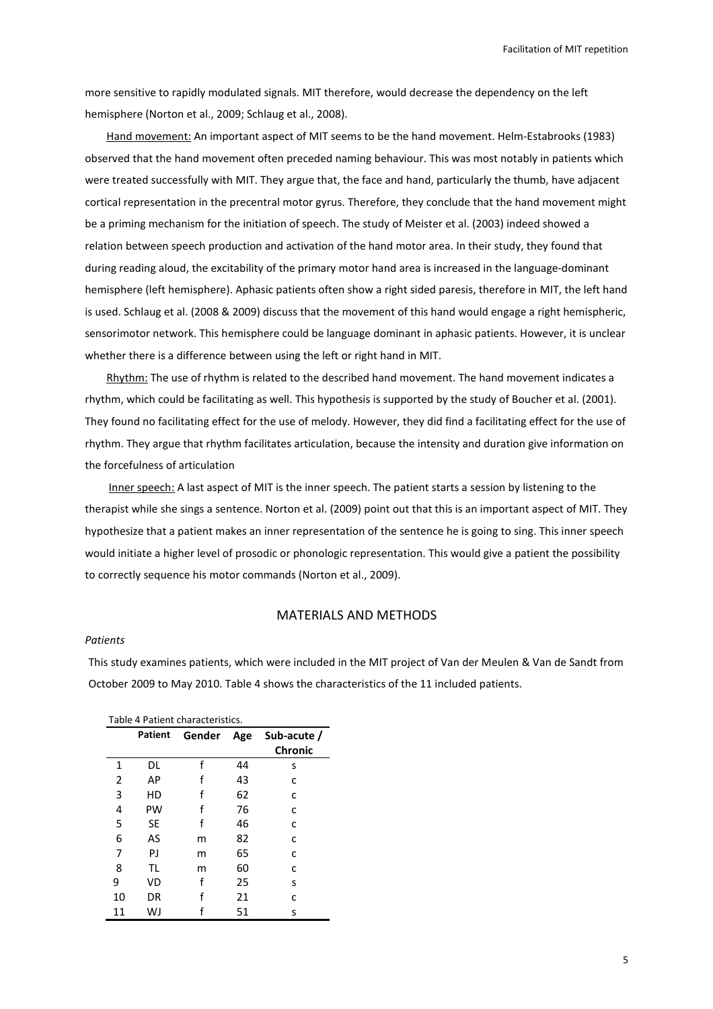Facilitation of MIT repetition

more sensitive to rapidly modulated signals. MIT therefore, would decrease the dependency on the left hemisphere (Norton et al., 2009; Schlaug et al., 2008).

Hand movement: An important aspect of MIT seems to be the hand movement. Helm-Estabrooks (1983) observed that the hand movement often preceded naming behaviour. This was most notably in patients which were treated successfully with MIT. They argue that, the face and hand, particularly the thumb, have adjacent cortical representation in the precentral motor gyrus. Therefore, they conclude that the hand movement might be a priming mechanism for the initiation of speech. The study of Meister et al. (2003) indeed showed a relation between speech production and activation of the hand motor area. In their study, they found that during reading aloud, the excitability of the primary motor hand area is increased in the language-dominant hemisphere (left hemisphere). Aphasic patients often show a right sided paresis, therefore in MIT, the left hand is used. Schlaug et al. (2008 & 2009) discuss that the movement of this hand would engage a right hemispheric, sensorimotor network. This hemisphere could be language dominant in aphasic patients. However, it is unclear whether there is a difference between using the left or right hand in MIT.

Rhythm: The use of rhythm is related to the described hand movement. The hand movement indicates a rhythm, which could be facilitating as well. This hypothesis is supported by the study of Boucher et al. (2001). They found no facilitating effect for the use of melody. However, they did find a facilitating effect for the use of rhythm. They argue that rhythm facilitates articulation, because the intensity and duration give information on the forcefulness of articulation

 Inner speech: A last aspect of MIT is the inner speech. The patient starts a session by listening to the therapist while she sings a sentence. Norton et al. (2009) point out that this is an important aspect of MIT. They hypothesize that a patient makes an inner representation of the sentence he is going to sing. This inner speech would initiate a higher level of prosodic or phonologic representation. This would give a patient the possibility to correctly sequence his motor commands (Norton et al., 2009).

## MATERIALS AND METHODS

#### Patients

This study examines patients, which were included in the MIT project of Van der Meulen & Van de Sandt from October 2009 to May 2010. Table 4 shows the characteristics of the 11 included patients.

| Table 4 Patient characteristics. |                |        |     |                        |  |
|----------------------------------|----------------|--------|-----|------------------------|--|
|                                  | <b>Patient</b> | Gender | Age | Sub-acute /<br>Chronic |  |
| 1                                | DL             | f      | 44  | s                      |  |
| 2                                | AP             | f      | 43  | C                      |  |
| 3                                | HD             | f      | 62  | C                      |  |
| 4                                | PW             | f      | 76  | C                      |  |
| 5                                | <b>SE</b>      | f      | 46  | C                      |  |
| 6                                | AS             | m      | 82  | C                      |  |
| 7                                | PJ             | m      | 65  | C                      |  |
| 8                                | TL             | m      | 60  | C                      |  |
| 9                                | VD             | f      | 25  | S                      |  |
| 10                               | DR             | f      | 21  | C                      |  |
| 11                               | WJ             |        | 51  | S                      |  |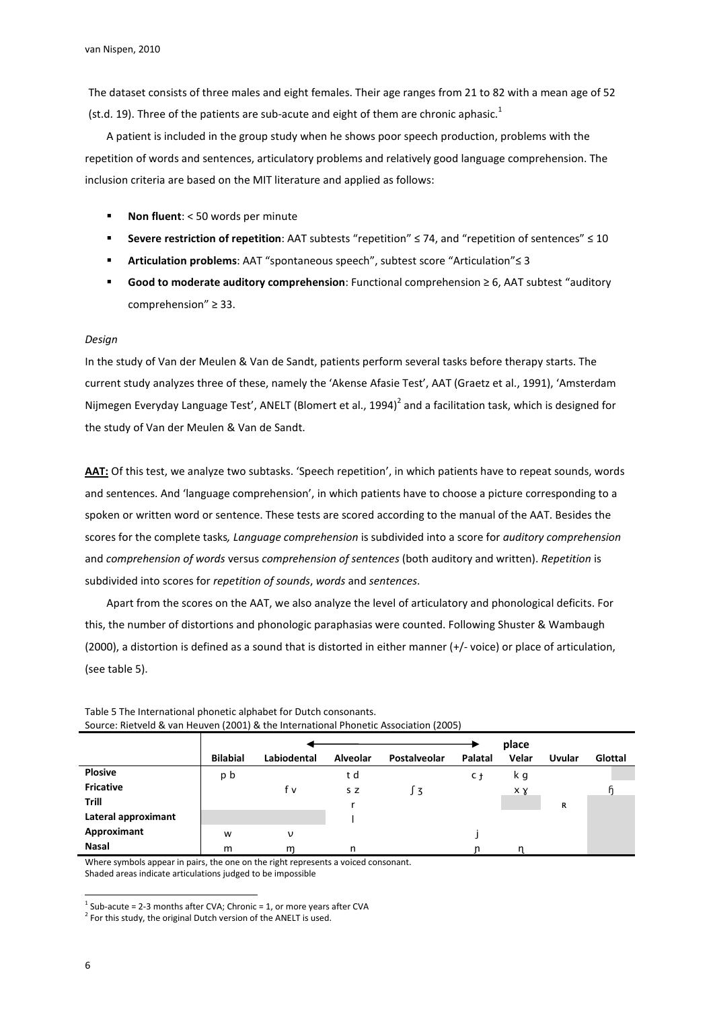The dataset consists of three males and eight females. Their age ranges from 21 to 82 with a mean age of 52 (st.d. 19). Three of the patients are sub-acute and eight of them are chronic aphasic.<sup>1</sup>

A patient is included in the group study when he shows poor speech production, problems with the repetition of words and sentences, articulatory problems and relatively good language comprehension. The inclusion criteria are based on the MIT literature and applied as follows:

- Non fluent: < 50 words per minute
- Severe restriction of repetition: AAT subtests "repetition"  $\leq$  74, and "repetition of sentences"  $\leq$  10
- Articulation problems: AAT "spontaneous speech", subtest score "Articulation" ≤ 3
- Good to moderate auditory comprehension: Functional comprehension ≥ 6, AAT subtest "auditory comprehension" ≥ 33.

### Design

In the study of Van der Meulen & Van de Sandt, patients perform several tasks before therapy starts. The current study analyzes three of these, namely the 'Akense Afasie Test', AAT (Graetz et al., 1991), 'Amsterdam Nijmegen Everyday Language Test', ANELT (Blomert et al., 1994)<sup>2</sup> and a facilitation task, which is designed for the study of Van der Meulen & Van de Sandt.

AAT: Of this test, we analyze two subtasks. 'Speech repetition', in which patients have to repeat sounds, words and sentences. And 'language comprehension', in which patients have to choose a picture corresponding to a spoken or written word or sentence. These tests are scored according to the manual of the AAT. Besides the scores for the complete tasks, Language comprehension is subdivided into a score for auditory comprehension and comprehension of words versus comprehension of sentences (both auditory and written). Repetition is subdivided into scores for repetition of sounds, words and sentences.

Apart from the scores on the AAT, we also analyze the level of articulatory and phonological deficits. For this, the number of distortions and phonologic paraphasias were counted. Following Shuster & Wambaugh (2000), a distortion is defined as a sound that is distorted in either manner (+/- voice) or place of articulation, (see table 5).

|                     |                 |             |          |               |         | place |               |         |
|---------------------|-----------------|-------------|----------|---------------|---------|-------|---------------|---------|
|                     | <b>Bilabial</b> | Labiodental | Alveolar | Postalveolar  | Palatal | Velar | <b>Uvular</b> | Glottal |
| <b>Plosive</b>      | p b             |             | t d      |               | C t     | k g   |               |         |
| <b>Fricative</b>    |                 | f v         | S Z      | $\frac{1}{3}$ |         | xγ    |               |         |
| <b>Trill</b>        |                 |             |          |               |         |       | R             |         |
| Lateral approximant |                 |             |          |               |         |       |               |         |
| Approximant         | W               | ν           |          |               |         |       |               |         |
| Nasal               | m               | m           | n        |               |         |       |               |         |

Table 5 The International phonetic alphabet for Dutch consonants. Source: Rietveld & van Heuven (2001) & the International Phonetic Association (2005)

Where symbols appear in pairs, the one on the right represents a voiced consonant. Shaded areas indicate articulations judged to be impossible

l

 $^1$  Sub-acute = 2-3 months after CVA; Chronic = 1, or more years after CVA

 $2^{2}$  For this study, the original Dutch version of the ANELT is used.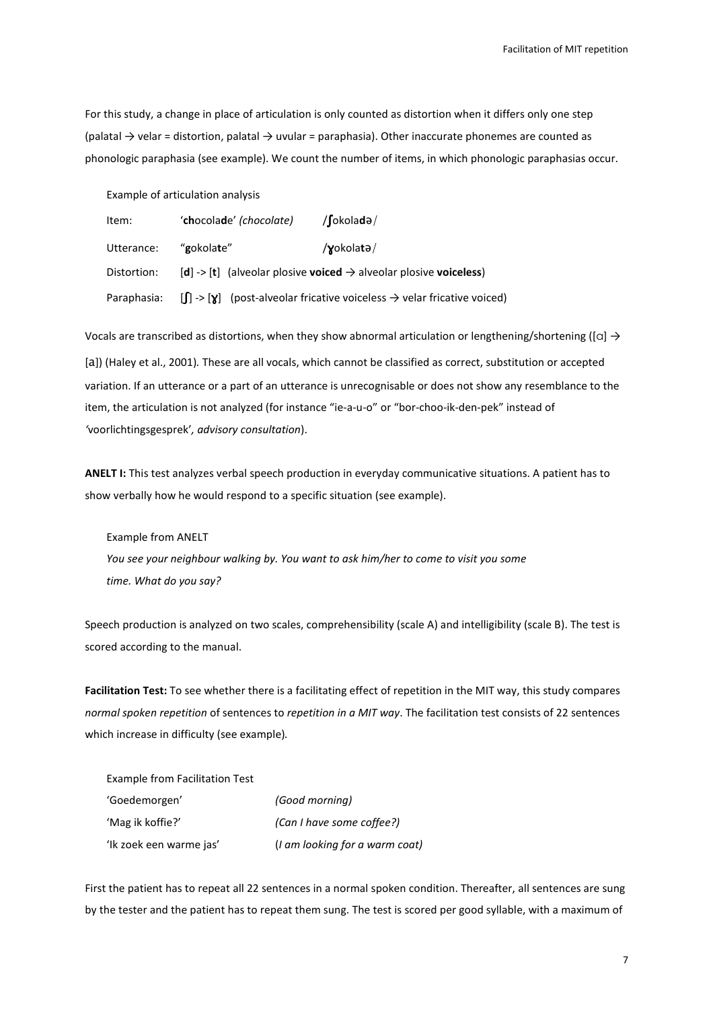For this study, a change in place of articulation is only counted as distortion when it differs only one step (palatal → velar = distortion, palatal → uvular = paraphasia). Other inaccurate phonemes are counted as phonologic paraphasia (see example). We count the number of items, in which phonologic paraphasias occur.

Example of articulation analysis

| Item:       | 'chocolade' (chocolate) | $/$ [okoladə $/$                                                                                 |
|-------------|-------------------------|--------------------------------------------------------------------------------------------------|
| Utterance:  | "gokolate"              | $\gamma$ okolatə/                                                                                |
| Distortion: |                         | $[d]$ -> $[t]$ (alveolar plosive <b>voiced</b> $\rightarrow$ alveolar plosive <b>voiceless</b> ) |
| Paraphasia: |                         | $[\int]$ -> $[\gamma]$ (post-alveolar fricative voiceless $\rightarrow$ velar fricative voiced)  |

Vocals are transcribed as distortions, when they show abnormal articulation or lengthening/shortening ([c]  $\rightarrow$ [a]) (Haley et al., 2001). These are all vocals, which cannot be classified as correct, substitution or accepted variation. If an utterance or a part of an utterance is unrecognisable or does not show any resemblance to the item, the articulation is not analyzed (for instance "ie-a-u-o" or "bor-choo-ik-den-pek" instead of 'voorlichtingsgesprek', advisory consultation).

ANELT I: This test analyzes verbal speech production in everyday communicative situations. A patient has to show verbally how he would respond to a specific situation (see example).

Example from ANELT

You see your neighbour walking by. You want to ask him/her to come to visit you some time. What do you say?

Speech production is analyzed on two scales, comprehensibility (scale A) and intelligibility (scale B). The test is scored according to the manual.

Facilitation Test: To see whether there is a facilitating effect of repetition in the MIT way, this study compares normal spoken repetition of sentences to repetition in a MIT way. The facilitation test consists of 22 sentences which increase in difficulty (see example).

| Example from Facilitation Test |                                |
|--------------------------------|--------------------------------|
| 'Goedemorgen'                  | (Good morning)                 |
| 'Mag ik koffie?'               | (Can I have some coffee?)      |
| 'Ik zoek een warme jas'        | (I am looking for a warm coat) |

First the patient has to repeat all 22 sentences in a normal spoken condition. Thereafter, all sentences are sung by the tester and the patient has to repeat them sung. The test is scored per good syllable, with a maximum of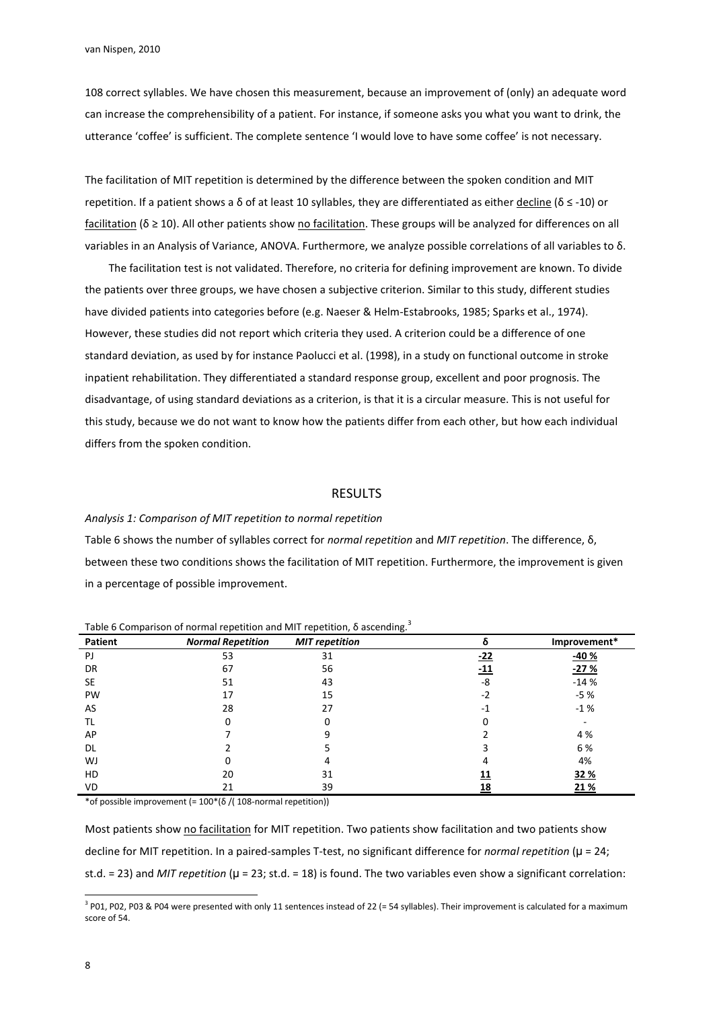108 correct syllables. We have chosen this measurement, because an improvement of (only) an adequate word can increase the comprehensibility of a patient. For instance, if someone asks you what you want to drink, the utterance 'coffee' is sufficient. The complete sentence 'I would love to have some coffee' is not necessary.

The facilitation of MIT repetition is determined by the difference between the spoken condition and MIT repetition. If a patient shows a δ of at least 10 syllables, they are differentiated as either decline ( $\delta \leq$ -10) or facilitation ( $\delta \ge 10$ ). All other patients show no facilitation. These groups will be analyzed for differences on all variables in an Analysis of Variance, ANOVA. Furthermore, we analyze possible correlations of all variables to δ.

The facilitation test is not validated. Therefore, no criteria for defining improvement are known. To divide the patients over three groups, we have chosen a subjective criterion. Similar to this study, different studies have divided patients into categories before (e.g. Naeser & Helm-Estabrooks, 1985; Sparks et al., 1974). However, these studies did not report which criteria they used. A criterion could be a difference of one standard deviation, as used by for instance Paolucci et al. (1998), in a study on functional outcome in stroke inpatient rehabilitation. They differentiated a standard response group, excellent and poor prognosis. The disadvantage, of using standard deviations as a criterion, is that it is a circular measure. This is not useful for this study, because we do not want to know how the patients differ from each other, but how each individual differs from the spoken condition.

### RESULTS

#### Analysis 1: Comparison of MIT repetition to normal repetition

Table 6 shows the number of syllables correct for normal repetition and MIT repetition. The difference, δ, between these two conditions shows the facilitation of MIT repetition. Furthermore, the improvement is given in a percentage of possible improvement.

| <b>Patient</b> | <b>Normal Repetition</b> | <b>MIT</b> repetition | δ          | Improvement* |
|----------------|--------------------------|-----------------------|------------|--------------|
| PJ             | 53                       | 31                    | <u>-22</u> | $-40%$       |
| DR             | 67                       | 56                    | <u>-11</u> | $-27%$       |
| SE             | 51                       | 43                    | -8         | $-14%$       |
| PW             | 17                       | 15                    | $-2$       | $-5%$        |
| AS             | 28                       | 27                    | $-1$       | $-1%$        |
| ΤL             | 0                        |                       | 0          |              |
| AP             |                          | ٩                     |            | 4 %          |
| DL.            |                          |                       |            | 6%           |
| WJ             | 0                        | 4                     | 4          | 4%           |
| HD             | 20                       | 31                    | 11         | 32%          |
| VD             | 21                       | 39                    | <u> 18</u> | 21%          |

Table 6 Comparison of normal repetition and MIT repetition,  $\delta$  ascending.<sup>3</sup>

\*of possible improvement (= 100\*(δ /( 108-normal repetition))

Most patients show no facilitation for MIT repetition. Two patients show facilitation and two patients show decline for MIT repetition. In a paired-samples T-test, no significant difference for normal repetition ( $\mu$  = 24; st.d. = 23) and *MIT repetition* ( $u = 23$ ; st.d. = 18) is found. The two variables even show a significant correlation:

l

 $3$  P01, P02, P03 & P04 were presented with only 11 sentences instead of 22 (= 54 syllables). Their improvement is calculated for a maximum score of 54.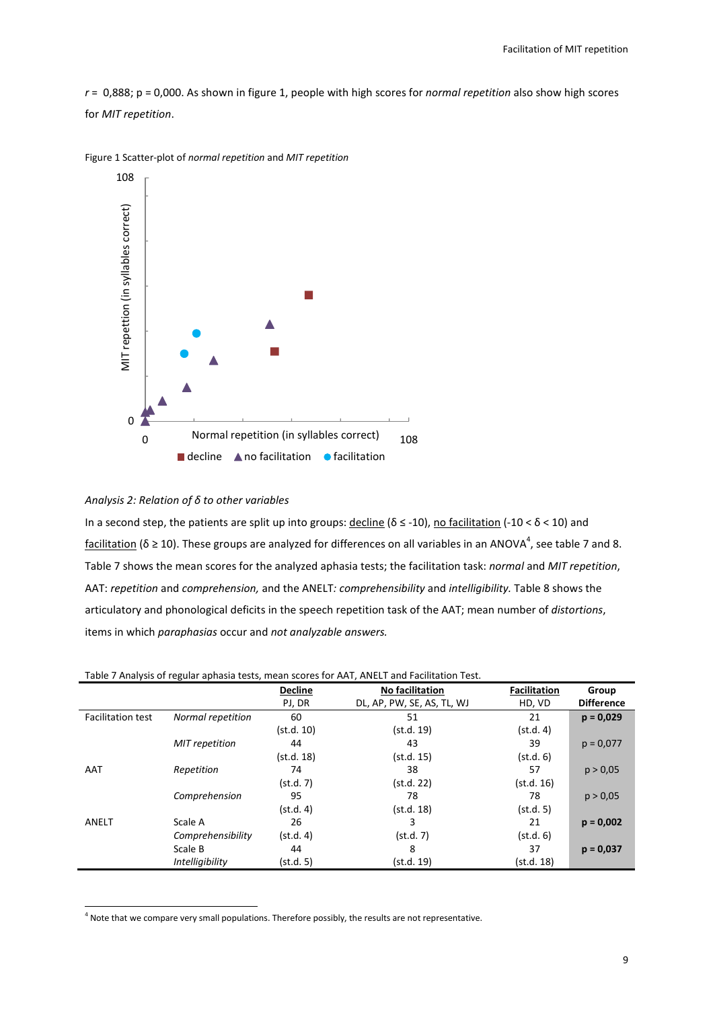$r = 0,888$ ; p = 0,000. As shown in figure 1, people with high scores for normal repetition also show high scores for MIT repetition.



Figure 1 Scatter-plot of normal repetition and MIT repetition

### Analysis 2: Relation of δ to other variables

l

In a second step, the patients are split up into groups: decline ( $\delta \leq$  -10), no facilitation (-10 <  $\delta$  < 10) and facilitation (δ ≥ 10). These groups are analyzed for differences on all variables in an ANOVA<sup>4</sup>, see table 7 and 8. Table 7 shows the mean scores for the analyzed aphasia tests; the facilitation task: normal and MIT repetition, AAT: repetition and comprehension, and the ANELT: comprehensibility and intelligibility. Table 8 shows the articulatory and phonological deficits in the speech repetition task of the AAT; mean number of distortions, items in which paraphasias occur and not analyzable answers.

Table 7 Analysis of regular aphasia tests, mean scores for AAT, ANELT and Facilitation Test.

|                          |                        | <b>Decline</b> | <b>No facilitation</b>     | <b>Facilitation</b> | Group             |
|--------------------------|------------------------|----------------|----------------------------|---------------------|-------------------|
|                          |                        | PJ, DR         | DL, AP, PW, SE, AS, TL, WJ | HD, VD              | <b>Difference</b> |
| <b>Facilitation test</b> | Normal repetition      | 60             | 51                         | 21                  | $p = 0,029$       |
|                          |                        | (st.d. 10)     | (st.d. 19)                 | (st.d. 4)           |                   |
|                          | <b>MIT</b> repetition  | 44             | 43                         | 39                  | $p = 0.077$       |
|                          |                        | (st.d. 18)     | (st.d. 15)                 | (st.d. 6)           |                   |
| AAT                      | Repetition             | 74             | 38                         | 57                  | p > 0.05          |
|                          |                        | (st.d. 7)      | (st.d. 22)                 | (st.d. 16)          |                   |
|                          | Comprehension          | 95             | 78                         | 78                  | p > 0.05          |
|                          |                        | (st.d. 4)      | (st.d. 18)                 | (st.d. 5)           |                   |
| ANELT                    | Scale A                | 26             | 3                          | 21                  | $p = 0,002$       |
|                          | Comprehensibility      | (st.d. 4)      | (st.d. 7)                  | (st.d. 6)           |                   |
|                          | Scale B                | 44             | 8                          | 37                  | $p = 0,037$       |
|                          | <i>Intelligibility</i> | (st.d. 5)      | (st.d. 19)                 | (st.d. 18)          |                   |

 $<sup>4</sup>$  Note that we compare very small populations. Therefore possibly, the results are not representative.</sup>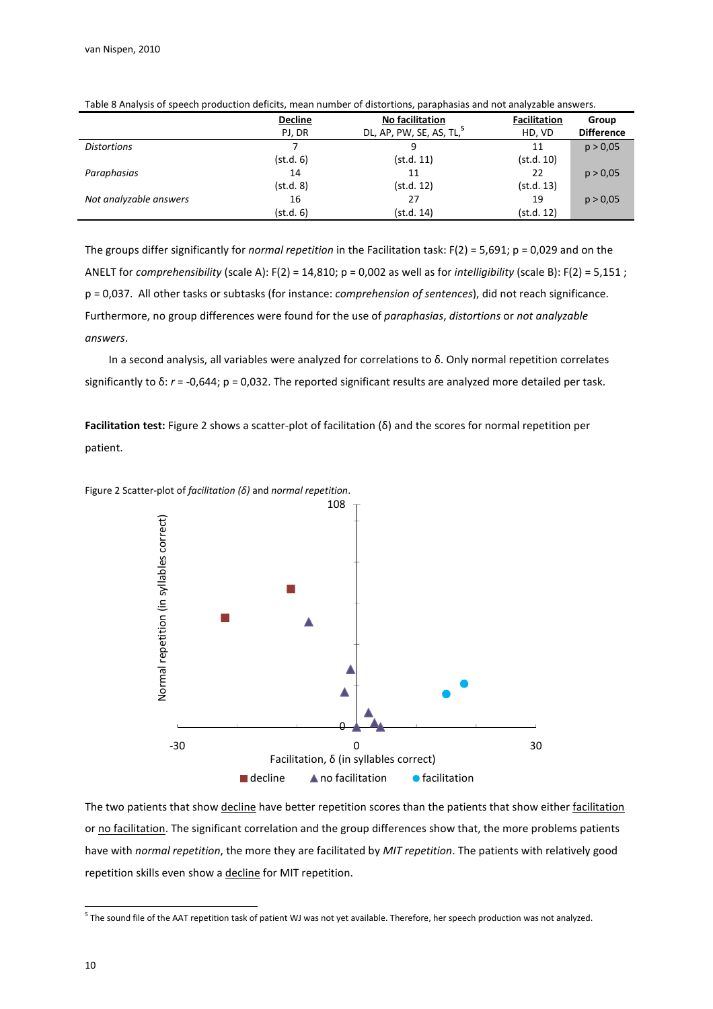|                        | <b>Decline</b> | No facilitation                      | <b>Facilitation</b> | Group             |
|------------------------|----------------|--------------------------------------|---------------------|-------------------|
|                        | PJ, DR         | DL, AP, PW, SE, AS, TL, <sup>5</sup> | HD, VD              | <b>Difference</b> |
| <b>Distortions</b>     |                | q                                    | 11                  | p > 0.05          |
|                        | (st.d. 6)      | (st.d. 11)                           | (st.d. 10)          |                   |
| Paraphasias            | 14             | 11                                   | 22                  | p > 0.05          |
|                        | (st.d. 8)      | (st.d. 12)                           | (st.d. 13)          |                   |
| Not analyzable answers | 16             | 27                                   | 19                  | p > 0.05          |
|                        | (st.d. 6)      | (st.d. 14)                           | (st.d. 12)          |                   |

Table 8 Analysis of speech production deficits, mean number of distortions, paraphasias and not analyzable answers.

The groups differ significantly for normal repetition in the Facilitation task:  $F(2) = 5,691$ ;  $p = 0,029$  and on the ANELT for comprehensibility (scale A):  $F(2) = 14,810$ ;  $p = 0,002$  as well as for intelligibility (scale B):  $F(2) = 5,151$ ; p = 0,037. All other tasks or subtasks (for instance: comprehension of sentences), did not reach significance. Furthermore, no group differences were found for the use of paraphasias, distortions or not analyzable answers.

In a second analysis, all variables were analyzed for correlations to δ. Only normal repetition correlates significantly to  $\delta$ :  $r = -0.644$ ;  $p = 0.032$ . The reported significant results are analyzed more detailed per task.

Facilitation test: Figure 2 shows a scatter-plot of facilitation (δ) and the scores for normal repetition per patient.



Figure 2 Scatter-plot of facilitation ( $\delta$ ) and normal repetition.

The two patients that show decline have better repetition scores than the patients that show either facilitation or no facilitation. The significant correlation and the group differences show that, the more problems patients have with normal repetition, the more they are facilitated by MIT repetition. The patients with relatively good repetition skills even show a decline for MIT repetition.

l

<sup>&</sup>lt;sup>5</sup> The sound file of the AAT repetition task of patient WJ was not yet available. Therefore, her speech production was not analyzed.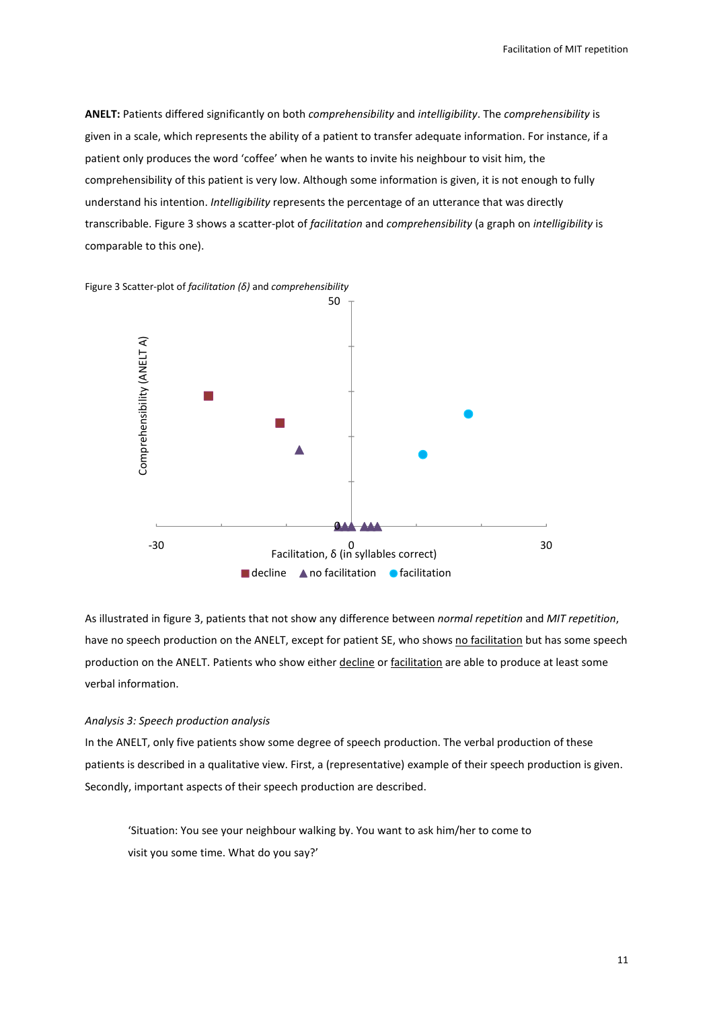ANELT: Patients differed significantly on both comprehensibility and intelligibility. The comprehensibility is given in a scale, which represents the ability of a patient to transfer adequate information. For instance, if a patient only produces the word 'coffee' when he wants to invite his neighbour to visit him, the comprehensibility of this patient is very low. Although some information is given, it is not enough to fully understand his intention. Intelligibility represents the percentage of an utterance that was directly transcribable. Figure 3 shows a scatter-plot of facilitation and comprehensibility (a graph on intelligibility is comparable to this one).



Figure 3 Scatter-plot of facilitation  $(δ)$  and comprehensibility

As illustrated in figure 3, patients that not show any difference between normal repetition and MIT repetition, have no speech production on the ANELT, except for patient SE, who shows no facilitation but has some speech production on the ANELT. Patients who show either decline or facilitation are able to produce at least some verbal information.

### Analysis 3: Speech production analysis

In the ANELT, only five patients show some degree of speech production. The verbal production of these patients is described in a qualitative view. First, a (representative) example of their speech production is given. Secondly, important aspects of their speech production are described.

'Situation: You see your neighbour walking by. You want to ask him/her to come to visit you some time. What do you say?'

11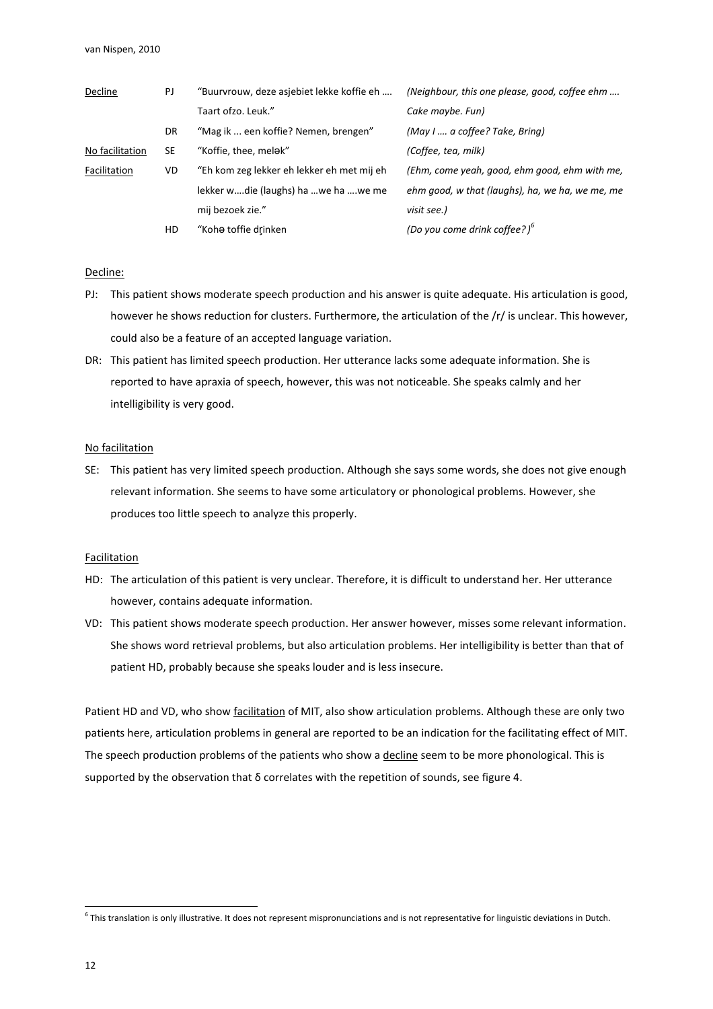| Decline         | PJ | "Buurvrouw, deze asjebiet lekke koffie eh  | (Neighbour, this one please, good, coffee ehm   |
|-----------------|----|--------------------------------------------|-------------------------------------------------|
|                 |    | Taart ofzo. Leuk."                         | Cake maybe. Fun)                                |
|                 | DR | "Mag ik  een koffie? Nemen, brengen"       | (May I  a coffee? Take, Bring)                  |
| No facilitation | SE | "Koffie, thee, melak"                      | (Coffee, tea, milk)                             |
| Facilitation    | VD | "Eh kom zeg lekker eh lekker eh met mij eh | (Ehm, come yeah, good, ehm good, ehm with me,   |
|                 |    | lekker wdie (laughs) ha we ha we me        | ehm good, w that (laughs), ha, we ha, we me, me |
|                 |    | mij bezoek zie."                           | visit see.)                                     |
|                 | HD | "Koha toffie drinken                       | (Do you come drink coffee?) <sup>b</sup>        |

#### Decline:

- PJ: This patient shows moderate speech production and his answer is quite adequate. His articulation is good, however he shows reduction for clusters. Furthermore, the articulation of the /r/ is unclear. This however, could also be a feature of an accepted language variation.
- DR: This patient has limited speech production. Her utterance lacks some adequate information. She is reported to have apraxia of speech, however, this was not noticeable. She speaks calmly and her intelligibility is very good.

#### No facilitation

SE: This patient has very limited speech production. Although she says some words, she does not give enough relevant information. She seems to have some articulatory or phonological problems. However, she produces too little speech to analyze this properly.

#### Facilitation

- HD: The articulation of this patient is very unclear. Therefore, it is difficult to understand her. Her utterance however, contains adequate information.
- VD: This patient shows moderate speech production. Her answer however, misses some relevant information. She shows word retrieval problems, but also articulation problems. Her intelligibility is better than that of patient HD, probably because she speaks louder and is less insecure.

Patient HD and VD, who show **facilitation** of MIT, also show articulation problems. Although these are only two patients here, articulation problems in general are reported to be an indication for the facilitating effect of MIT. The speech production problems of the patients who show a decline seem to be more phonological. This is supported by the observation that  $\delta$  correlates with the repetition of sounds, see figure 4.

l

<sup>&</sup>lt;sup>6</sup> This translation is only illustrative. It does not represent mispronunciations and is not representative for linguistic deviations in Dutch.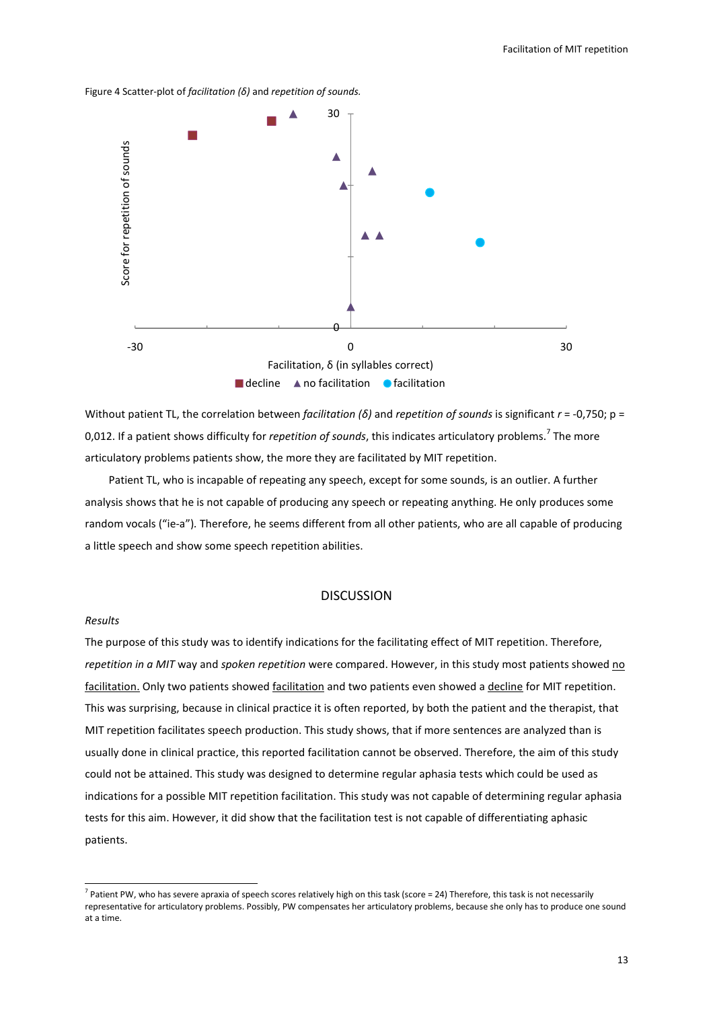



Without patient TL, the correlation between facilitation (δ) and repetition of sounds is significant  $r = -0.750$ ; p = 0,012. If a patient shows difficulty for *repetition of sounds,* this indicates articulatory problems.<sup>7</sup> The more articulatory problems patients show, the more they are facilitated by MIT repetition.

 Patient TL, who is incapable of repeating any speech, except for some sounds, is an outlier. A further analysis shows that he is not capable of producing any speech or repeating anything. He only produces some random vocals ("ie-a"). Therefore, he seems different from all other patients, who are all capable of producing a little speech and show some speech repetition abilities.

# DISCUSSION

#### Results

l

The purpose of this study was to identify indications for the facilitating effect of MIT repetition. Therefore, repetition in a MIT way and spoken repetition were compared. However, in this study most patients showed no facilitation. Only two patients showed facilitation and two patients even showed a decline for MIT repetition. This was surprising, because in clinical practice it is often reported, by both the patient and the therapist, that MIT repetition facilitates speech production. This study shows, that if more sentences are analyzed than is usually done in clinical practice, this reported facilitation cannot be observed. Therefore, the aim of this study could not be attained. This study was designed to determine regular aphasia tests which could be used as indications for a possible MIT repetition facilitation. This study was not capable of determining regular aphasia tests for this aim. However, it did show that the facilitation test is not capable of differentiating aphasic patients.

<sup>&</sup>lt;sup>7</sup> Patient PW, who has severe apraxia of speech scores relatively high on this task (score = 24) Therefore, this task is not necessarily representative for articulatory problems. Possibly, PW compensates her articulatory problems, because she only has to produce one sound at a time.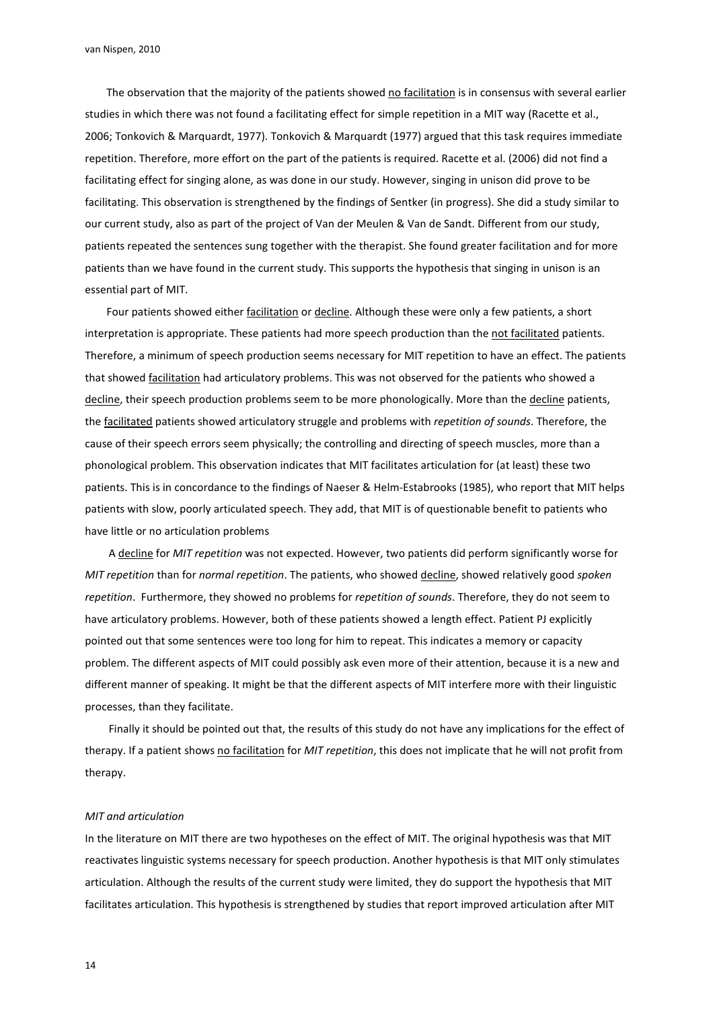van Nispen, 2010

The observation that the majority of the patients showed no facilitation is in consensus with several earlier studies in which there was not found a facilitating effect for simple repetition in a MIT way (Racette et al., 2006; Tonkovich & Marquardt, 1977). Tonkovich & Marquardt (1977) argued that this task requires immediate repetition. Therefore, more effort on the part of the patients is required. Racette et al. (2006) did not find a facilitating effect for singing alone, as was done in our study. However, singing in unison did prove to be facilitating. This observation is strengthened by the findings of Sentker (in progress). She did a study similar to our current study, also as part of the project of Van der Meulen & Van de Sandt. Different from our study, patients repeated the sentences sung together with the therapist. She found greater facilitation and for more patients than we have found in the current study. This supports the hypothesis that singing in unison is an essential part of MIT.

Four patients showed either facilitation or decline. Although these were only a few patients, a short interpretation is appropriate. These patients had more speech production than the not facilitated patients. Therefore, a minimum of speech production seems necessary for MIT repetition to have an effect. The patients that showed **facilitation** had articulatory problems. This was not observed for the patients who showed a decline, their speech production problems seem to be more phonologically. More than the decline patients, the facilitated patients showed articulatory struggle and problems with repetition of sounds. Therefore, the cause of their speech errors seem physically; the controlling and directing of speech muscles, more than a phonological problem. This observation indicates that MIT facilitates articulation for (at least) these two patients. This is in concordance to the findings of Naeser & Helm-Estabrooks (1985), who report that MIT helps patients with slow, poorly articulated speech. They add, that MIT is of questionable benefit to patients who have little or no articulation problems

A decline for MIT repetition was not expected. However, two patients did perform significantly worse for MIT repetition than for normal repetition. The patients, who showed decline, showed relatively good spoken repetition. Furthermore, they showed no problems for repetition of sounds. Therefore, they do not seem to have articulatory problems. However, both of these patients showed a length effect. Patient PJ explicitly pointed out that some sentences were too long for him to repeat. This indicates a memory or capacity problem. The different aspects of MIT could possibly ask even more of their attention, because it is a new and different manner of speaking. It might be that the different aspects of MIT interfere more with their linguistic processes, than they facilitate.

Finally it should be pointed out that, the results of this study do not have any implications for the effect of therapy. If a patient shows no facilitation for MIT repetition, this does not implicate that he will not profit from therapy.

#### MIT and articulation

In the literature on MIT there are two hypotheses on the effect of MIT. The original hypothesis was that MIT reactivates linguistic systems necessary for speech production. Another hypothesis is that MIT only stimulates articulation. Although the results of the current study were limited, they do support the hypothesis that MIT facilitates articulation. This hypothesis is strengthened by studies that report improved articulation after MIT

14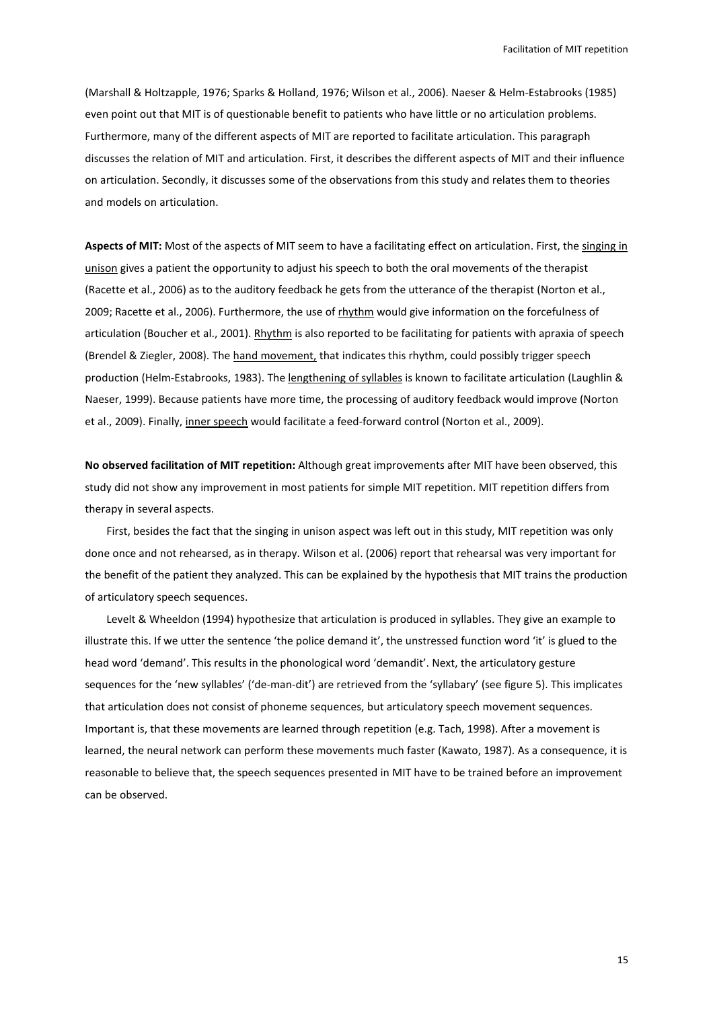(Marshall & Holtzapple, 1976; Sparks & Holland, 1976; Wilson et al., 2006). Naeser & Helm-Estabrooks (1985) even point out that MIT is of questionable benefit to patients who have little or no articulation problems. Furthermore, many of the different aspects of MIT are reported to facilitate articulation. This paragraph discusses the relation of MIT and articulation. First, it describes the different aspects of MIT and their influence on articulation. Secondly, it discusses some of the observations from this study and relates them to theories and models on articulation.

Aspects of MIT: Most of the aspects of MIT seem to have a facilitating effect on articulation. First, the singing in unison gives a patient the opportunity to adjust his speech to both the oral movements of the therapist (Racette et al., 2006) as to the auditory feedback he gets from the utterance of the therapist (Norton et al., 2009; Racette et al., 2006). Furthermore, the use of rhythm would give information on the forcefulness of articulation (Boucher et al., 2001). Rhythm is also reported to be facilitating for patients with apraxia of speech (Brendel & Ziegler, 2008). The hand movement, that indicates this rhythm, could possibly trigger speech production (Helm-Estabrooks, 1983). The lengthening of syllables is known to facilitate articulation (Laughlin & Naeser, 1999). Because patients have more time, the processing of auditory feedback would improve (Norton et al., 2009). Finally, inner speech would facilitate a feed-forward control (Norton et al., 2009).

No observed facilitation of MIT repetition: Although great improvements after MIT have been observed, this study did not show any improvement in most patients for simple MIT repetition. MIT repetition differs from therapy in several aspects.

First, besides the fact that the singing in unison aspect was left out in this study, MIT repetition was only done once and not rehearsed, as in therapy. Wilson et al. (2006) report that rehearsal was very important for the benefit of the patient they analyzed. This can be explained by the hypothesis that MIT trains the production of articulatory speech sequences.

Levelt & Wheeldon (1994) hypothesize that articulation is produced in syllables. They give an example to illustrate this. If we utter the sentence 'the police demand it', the unstressed function word 'it' is glued to the head word 'demand'. This results in the phonological word 'demandit'. Next, the articulatory gesture sequences for the 'new syllables' ('de-man-dit') are retrieved from the 'syllabary' (see figure 5). This implicates that articulation does not consist of phoneme sequences, but articulatory speech movement sequences. Important is, that these movements are learned through repetition (e.g. Tach, 1998). After a movement is learned, the neural network can perform these movements much faster (Kawato, 1987). As a consequence, it is reasonable to believe that, the speech sequences presented in MIT have to be trained before an improvement can be observed.

15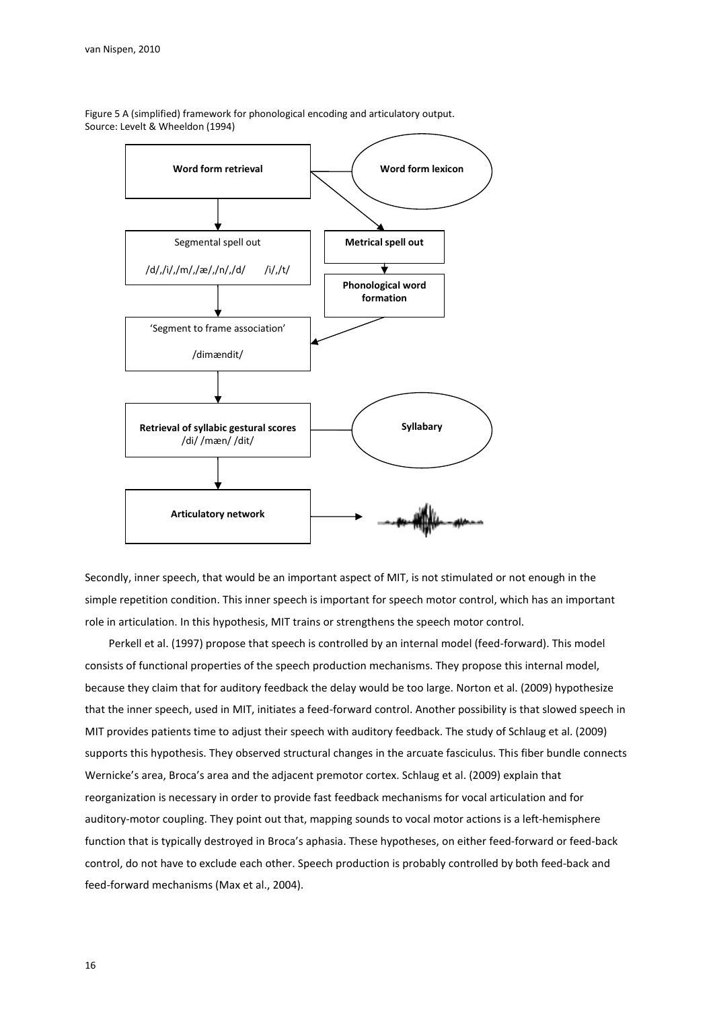

Figure 5 A (simplified) framework for phonological encoding and articulatory output. Source: Levelt & Wheeldon (1994)

Secondly, inner speech, that would be an important aspect of MIT, is not stimulated or not enough in the simple repetition condition. This inner speech is important for speech motor control, which has an important role in articulation. In this hypothesis, MIT trains or strengthens the speech motor control.

Perkell et al. (1997) propose that speech is controlled by an internal model (feed-forward). This model consists of functional properties of the speech production mechanisms. They propose this internal model, because they claim that for auditory feedback the delay would be too large. Norton et al. (2009) hypothesize that the inner speech, used in MIT, initiates a feed-forward control. Another possibility is that slowed speech in MIT provides patients time to adjust their speech with auditory feedback. The study of Schlaug et al. (2009) supports this hypothesis. They observed structural changes in the arcuate fasciculus. This fiber bundle connects Wernicke's area, Broca's area and the adjacent premotor cortex. Schlaug et al. (2009) explain that reorganization is necessary in order to provide fast feedback mechanisms for vocal articulation and for auditory-motor coupling. They point out that, mapping sounds to vocal motor actions is a left-hemisphere function that is typically destroyed in Broca's aphasia. These hypotheses, on either feed-forward or feed-back control, do not have to exclude each other. Speech production is probably controlled by both feed-back and feed-forward mechanisms (Max et al., 2004).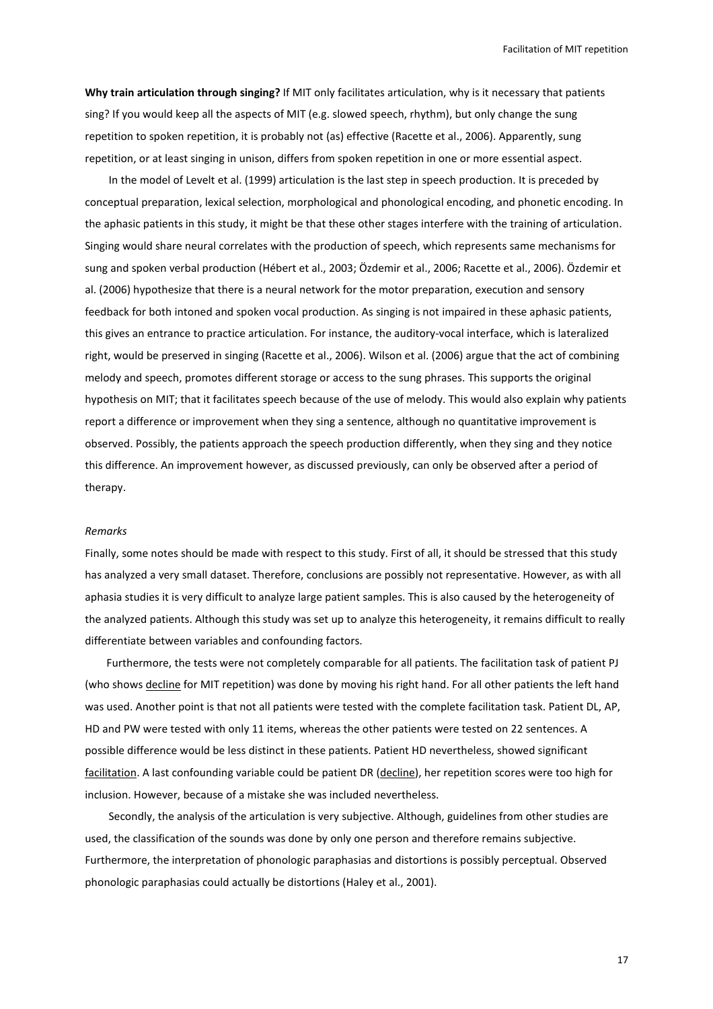Facilitation of MIT repetition

Why train articulation through singing? If MIT only facilitates articulation, why is it necessary that patients sing? If you would keep all the aspects of MIT (e.g. slowed speech, rhythm), but only change the sung repetition to spoken repetition, it is probably not (as) effective (Racette et al., 2006). Apparently, sung repetition, or at least singing in unison, differs from spoken repetition in one or more essential aspect.

In the model of Levelt et al. (1999) articulation is the last step in speech production. It is preceded by conceptual preparation, lexical selection, morphological and phonological encoding, and phonetic encoding. In the aphasic patients in this study, it might be that these other stages interfere with the training of articulation. Singing would share neural correlates with the production of speech, which represents same mechanisms for sung and spoken verbal production (Hébert et al., 2003; Özdemir et al., 2006; Racette et al., 2006). Özdemir et al. (2006) hypothesize that there is a neural network for the motor preparation, execution and sensory feedback for both intoned and spoken vocal production. As singing is not impaired in these aphasic patients, this gives an entrance to practice articulation. For instance, the auditory-vocal interface, which is lateralized right, would be preserved in singing (Racette et al., 2006). Wilson et al. (2006) argue that the act of combining melody and speech, promotes different storage or access to the sung phrases. This supports the original hypothesis on MIT; that it facilitates speech because of the use of melody. This would also explain why patients report a difference or improvement when they sing a sentence, although no quantitative improvement is observed. Possibly, the patients approach the speech production differently, when they sing and they notice this difference. An improvement however, as discussed previously, can only be observed after a period of therapy.

#### Remarks

Finally, some notes should be made with respect to this study. First of all, it should be stressed that this study has analyzed a very small dataset. Therefore, conclusions are possibly not representative. However, as with all aphasia studies it is very difficult to analyze large patient samples. This is also caused by the heterogeneity of the analyzed patients. Although this study was set up to analyze this heterogeneity, it remains difficult to really differentiate between variables and confounding factors.

Furthermore, the tests were not completely comparable for all patients. The facilitation task of patient PJ (who shows decline for MIT repetition) was done by moving his right hand. For all other patients the left hand was used. Another point is that not all patients were tested with the complete facilitation task. Patient DL, AP, HD and PW were tested with only 11 items, whereas the other patients were tested on 22 sentences. A possible difference would be less distinct in these patients. Patient HD nevertheless, showed significant facilitation. A last confounding variable could be patient DR (decline), her repetition scores were too high for inclusion. However, because of a mistake she was included nevertheless.

 Secondly, the analysis of the articulation is very subjective. Although, guidelines from other studies are used, the classification of the sounds was done by only one person and therefore remains subjective. Furthermore, the interpretation of phonologic paraphasias and distortions is possibly perceptual. Observed phonologic paraphasias could actually be distortions (Haley et al., 2001).

17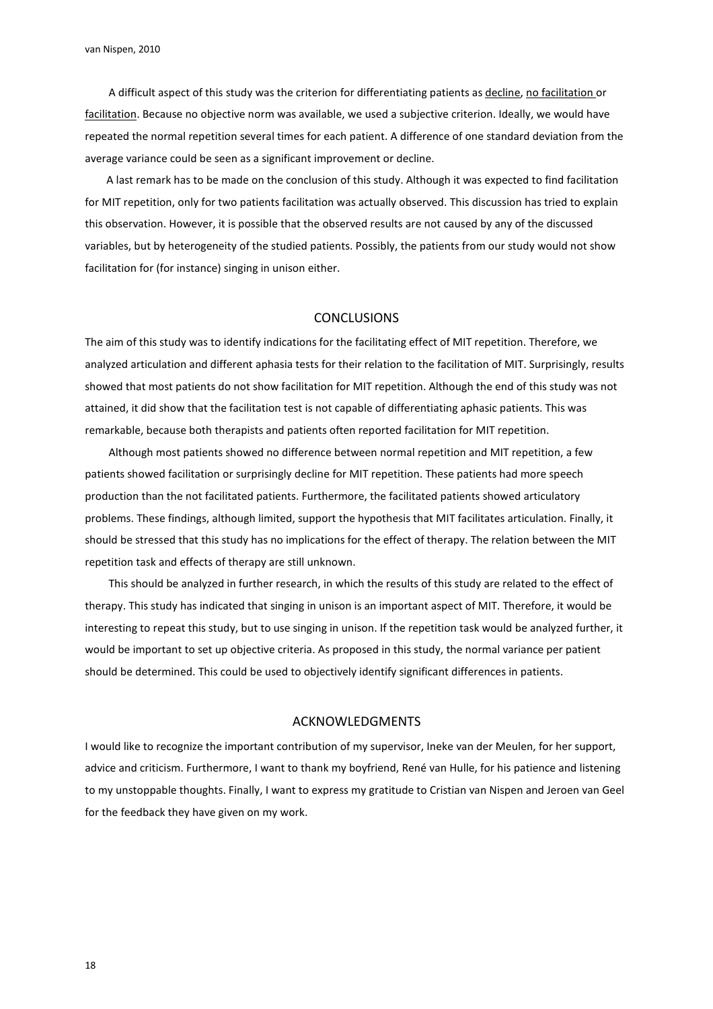van Nispen, 2010

A difficult aspect of this study was the criterion for differentiating patients as decline, no facilitation or facilitation. Because no objective norm was available, we used a subjective criterion. Ideally, we would have repeated the normal repetition several times for each patient. A difference of one standard deviation from the average variance could be seen as a significant improvement or decline.

A last remark has to be made on the conclusion of this study. Although it was expected to find facilitation for MIT repetition, only for two patients facilitation was actually observed. This discussion has tried to explain this observation. However, it is possible that the observed results are not caused by any of the discussed variables, but by heterogeneity of the studied patients. Possibly, the patients from our study would not show facilitation for (for instance) singing in unison either.

# **CONCLUSIONS**

The aim of this study was to identify indications for the facilitating effect of MIT repetition. Therefore, we analyzed articulation and different aphasia tests for their relation to the facilitation of MIT. Surprisingly, results showed that most patients do not show facilitation for MIT repetition. Although the end of this study was not attained, it did show that the facilitation test is not capable of differentiating aphasic patients. This was remarkable, because both therapists and patients often reported facilitation for MIT repetition.

Although most patients showed no difference between normal repetition and MIT repetition, a few patients showed facilitation or surprisingly decline for MIT repetition. These patients had more speech production than the not facilitated patients. Furthermore, the facilitated patients showed articulatory problems. These findings, although limited, support the hypothesis that MIT facilitates articulation. Finally, it should be stressed that this study has no implications for the effect of therapy. The relation between the MIT repetition task and effects of therapy are still unknown.

This should be analyzed in further research, in which the results of this study are related to the effect of therapy. This study has indicated that singing in unison is an important aspect of MIT. Therefore, it would be interesting to repeat this study, but to use singing in unison. If the repetition task would be analyzed further, it would be important to set up objective criteria. As proposed in this study, the normal variance per patient should be determined. This could be used to objectively identify significant differences in patients.

# ACKNOWLEDGMENTS

I would like to recognize the important contribution of my supervisor, Ineke van der Meulen, for her support, advice and criticism. Furthermore, I want to thank my boyfriend, René van Hulle, for his patience and listening to my unstoppable thoughts. Finally, I want to express my gratitude to Cristian van Nispen and Jeroen van Geel for the feedback they have given on my work.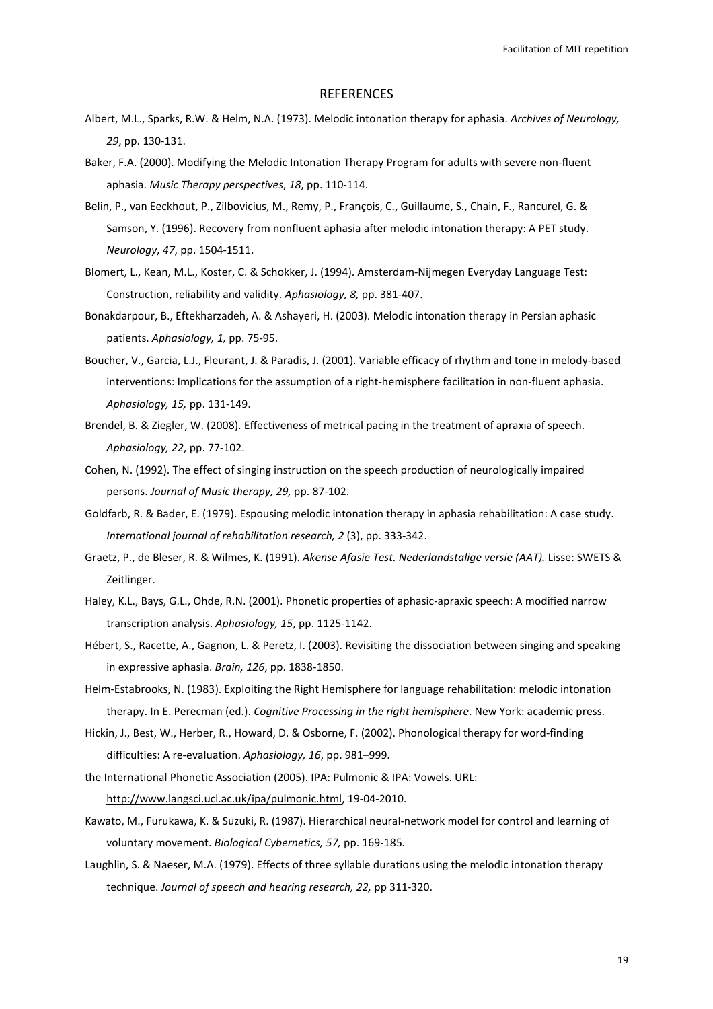Facilitation of MIT repetition

#### REFERENCES

- Albert, M.L., Sparks, R.W. & Helm, N.A. (1973). Melodic intonation therapy for aphasia. Archives of Neurology, 29, pp. 130-131.
- Baker, F.A. (2000). Modifying the Melodic Intonation Therapy Program for adults with severe non-fluent aphasia. Music Therapy perspectives, 18, pp. 110-114.
- Belin, P., van Eeckhout, P., Zilbovicius, M., Remy, P., François, C., Guillaume, S., Chain, F., Rancurel, G. & Samson, Y. (1996). Recovery from nonfluent aphasia after melodic intonation therapy: A PET study. Neurology, 47, pp. 1504-1511.
- Blomert, L., Kean, M.L., Koster, C. & Schokker, J. (1994). Amsterdam-Nijmegen Everyday Language Test: Construction, reliability and validity. Aphasiology, 8, pp. 381-407.
- Bonakdarpour, B., Eftekharzadeh, A. & Ashayeri, H. (2003). Melodic intonation therapy in Persian aphasic patients. Aphasiology, 1, pp. 75-95.
- Boucher, V., Garcia, L.J., Fleurant, J. & Paradis, J. (2001). Variable efficacy of rhythm and tone in melody-based interventions: Implications for the assumption of a right-hemisphere facilitation in non-fluent aphasia. Aphasiology, 15, pp. 131-149.
- Brendel, B. & Ziegler, W. (2008). Effectiveness of metrical pacing in the treatment of apraxia of speech. Aphasiology, 22, pp. 77-102.
- Cohen, N. (1992). The effect of singing instruction on the speech production of neurologically impaired persons. Journal of Music therapy, 29, pp. 87-102.
- Goldfarb, R. & Bader, E. (1979). Espousing melodic intonation therapy in aphasia rehabilitation: A case study. International journal of rehabilitation research, 2 (3), pp. 333-342.
- Graetz, P., de Bleser, R. & Wilmes, K. (1991). Akense Afasie Test. Nederlandstalige versie (AAT). Lisse: SWETS & Zeitlinger.
- Haley, K.L., Bays, G.L., Ohde, R.N. (2001). Phonetic properties of aphasic-apraxic speech: A modified narrow transcription analysis. Aphasiology, 15, pp. 1125-1142.
- Hébert, S., Racette, A., Gagnon, L. & Peretz, I. (2003). Revisiting the dissociation between singing and speaking in expressive aphasia. Brain, 126, pp. 1838-1850.
- Helm-Estabrooks, N. (1983). Exploiting the Right Hemisphere for language rehabilitation: melodic intonation therapy. In E. Perecman (ed.). Cognitive Processing in the right hemisphere. New York: academic press.
- Hickin, J., Best, W., Herber, R., Howard, D. & Osborne, F. (2002). Phonological therapy for word-finding difficulties: A re-evaluation. Aphasiology, 16, pp. 981–999.
- the International Phonetic Association (2005). IPA: Pulmonic & IPA: Vowels. URL: http://www.langsci.ucl.ac.uk/ipa/pulmonic.html, 19-04-2010.
- Kawato, M., Furukawa, K. & Suzuki, R. (1987). Hierarchical neural-network model for control and learning of voluntary movement. Biological Cybernetics, 57, pp. 169-185.
- Laughlin, S. & Naeser, M.A. (1979). Effects of three syllable durations using the melodic intonation therapy technique. Journal of speech and hearing research, 22, pp 311-320.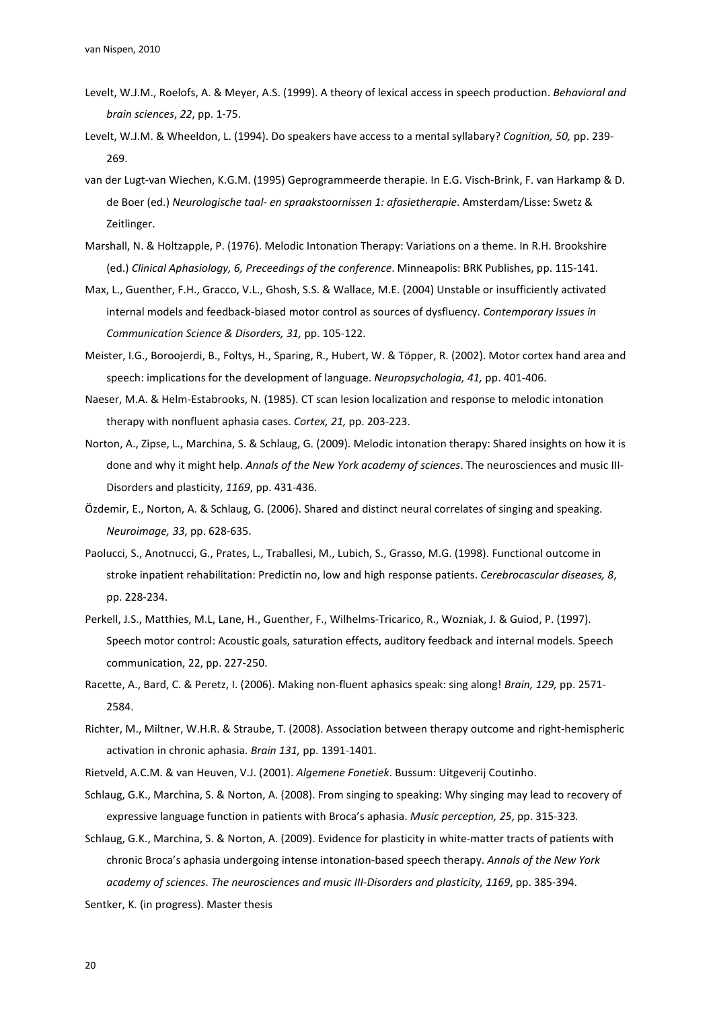- Levelt, W.J.M., Roelofs, A. & Meyer, A.S. (1999). A theory of lexical access in speech production. Behavioral and brain sciences, 22, pp. 1-75.
- Levelt, W.J.M. & Wheeldon, L. (1994). Do speakers have access to a mental syllabary? Cognition, 50, pp. 239- 269.
- van der Lugt-van Wiechen, K.G.M. (1995) Geprogrammeerde therapie. In E.G. Visch-Brink, F. van Harkamp & D. de Boer (ed.) Neurologische taal- en spraakstoornissen 1: afasietherapie. Amsterdam/Lisse: Swetz & Zeitlinger.
- Marshall, N. & Holtzapple, P. (1976). Melodic Intonation Therapy: Variations on a theme. In R.H. Brookshire (ed.) Clinical Aphasiology, 6, Preceedings of the conference. Minneapolis: BRK Publishes, pp. 115-141.
- Max, L., Guenther, F.H., Gracco, V.L., Ghosh, S.S. & Wallace, M.E. (2004) Unstable or insufficiently activated internal models and feedback-biased motor control as sources of dysfluency. Contemporary Issues in Communication Science & Disorders, 31, pp. 105-122.
- Meister, I.G., Boroojerdi, B., Foltys, H., Sparing, R., Hubert, W. & Töpper, R. (2002). Motor cortex hand area and speech: implications for the development of language. Neuropsychologia, 41, pp. 401-406.
- Naeser, M.A. & Helm-Estabrooks, N. (1985). CT scan lesion localization and response to melodic intonation therapy with nonfluent aphasia cases. Cortex, 21, pp. 203-223.
- Norton, A., Zipse, L., Marchina, S. & Schlaug, G. (2009). Melodic intonation therapy: Shared insights on how it is done and why it might help. Annals of the New York academy of sciences. The neurosciences and music III-Disorders and plasticity, 1169, pp. 431-436.
- Özdemir, E., Norton, A. & Schlaug, G. (2006). Shared and distinct neural correlates of singing and speaking. Neuroimage, 33, pp. 628-635.
- Paolucci, S., Anotnucci, G., Prates, L., Traballesi, M., Lubich, S., Grasso, M.G. (1998). Functional outcome in stroke inpatient rehabilitation: Predictin no, low and high response patients. Cerebrocascular diseases, 8, pp. 228-234.
- Perkell, J.S., Matthies, M.L, Lane, H., Guenther, F., Wilhelms-Tricarico, R., Wozniak, J. & Guiod, P. (1997). Speech motor control: Acoustic goals, saturation effects, auditory feedback and internal models. Speech communication, 22, pp. 227-250.
- Racette, A., Bard, C. & Peretz, I. (2006). Making non-fluent aphasics speak: sing along! Brain, 129, pp. 2571-2584.
- Richter, M., Miltner, W.H.R. & Straube, T. (2008). Association between therapy outcome and right-hemispheric activation in chronic aphasia. Brain 131, pp. 1391-1401.
- Rietveld, A.C.M. & van Heuven, V.J. (2001). Algemene Fonetiek. Bussum: Uitgeverij Coutinho.
- Schlaug, G.K., Marchina, S. & Norton, A. (2008). From singing to speaking: Why singing may lead to recovery of expressive language function in patients with Broca's aphasia. Music perception, 25, pp. 315-323.
- Schlaug, G.K., Marchina, S. & Norton, A. (2009). Evidence for plasticity in white-matter tracts of patients with chronic Broca's aphasia undergoing intense intonation-based speech therapy. Annals of the New York academy of sciences. The neurosciences and music III-Disorders and plasticity, 1169, pp. 385-394.

Sentker, K. (in progress). Master thesis